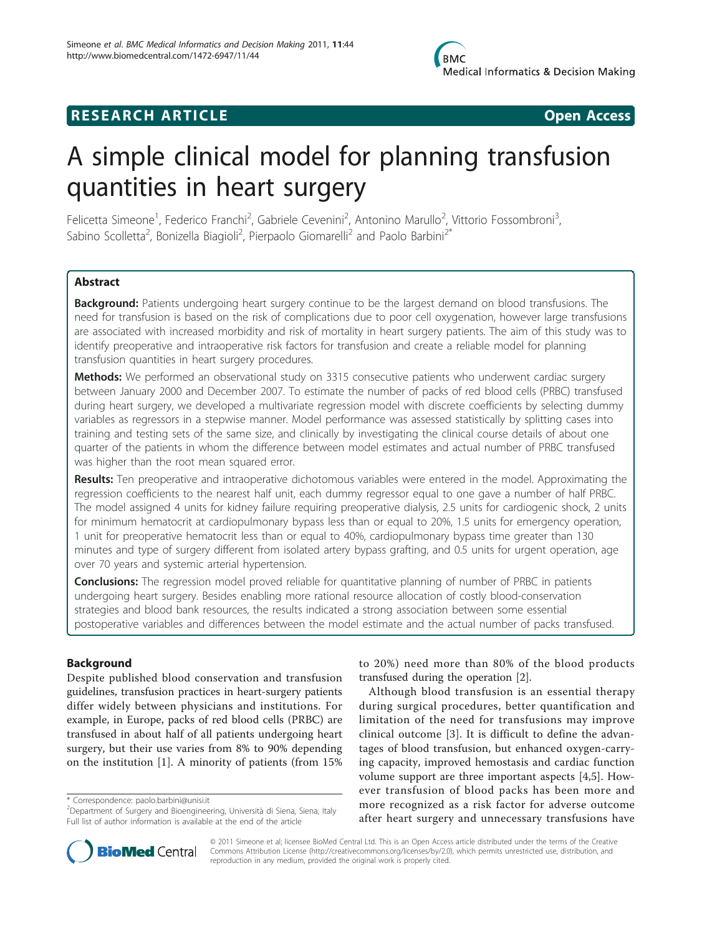# **RESEARCH ARTICLE Example 2018 CONSIDERING ACCESS**

# A simple clinical model for planning transfusion quantities in heart surgery

Felicetta Simeone<sup>1</sup>, Federico Franchi<sup>2</sup>, Gabriele Cevenini<sup>2</sup>, Antonino Marullo<sup>2</sup>, Vittorio Fossombroni<sup>3</sup> , Sabino Scolletta<sup>2</sup>, Bonizella Biagioli<sup>2</sup>, Pierpaolo Giomarelli<sup>2</sup> and Paolo Barbini<sup>2\*</sup>

# Abstract

Background: Patients undergoing heart surgery continue to be the largest demand on blood transfusions. The need for transfusion is based on the risk of complications due to poor cell oxygenation, however large transfusions are associated with increased morbidity and risk of mortality in heart surgery patients. The aim of this study was to identify preoperative and intraoperative risk factors for transfusion and create a reliable model for planning transfusion quantities in heart surgery procedures.

Methods: We performed an observational study on 3315 consecutive patients who underwent cardiac surgery between January 2000 and December 2007. To estimate the number of packs of red blood cells (PRBC) transfused during heart surgery, we developed a multivariate regression model with discrete coefficients by selecting dummy variables as regressors in a stepwise manner. Model performance was assessed statistically by splitting cases into training and testing sets of the same size, and clinically by investigating the clinical course details of about one quarter of the patients in whom the difference between model estimates and actual number of PRBC transfused was higher than the root mean squared error.

Results: Ten preoperative and intraoperative dichotomous variables were entered in the model. Approximating the regression coefficients to the nearest half unit, each dummy regressor equal to one gave a number of half PRBC. The model assigned 4 units for kidney failure requiring preoperative dialysis, 2.5 units for cardiogenic shock, 2 units for minimum hematocrit at cardiopulmonary bypass less than or equal to 20%, 1.5 units for emergency operation, 1 unit for preoperative hematocrit less than or equal to 40%, cardiopulmonary bypass time greater than 130 minutes and type of surgery different from isolated artery bypass grafting, and 0.5 units for urgent operation, age over 70 years and systemic arterial hypertension.

Conclusions: The regression model proved reliable for quantitative planning of number of PRBC in patients undergoing heart surgery. Besides enabling more rational resource allocation of costly blood-conservation strategies and blood bank resources, the results indicated a strong association between some essential postoperative variables and differences between the model estimate and the actual number of packs transfused.

# Background

Despite published blood conservation and transfusion guidelines, transfusion practices in heart-surgery patients differ widely between physicians and institutions. For example, in Europe, packs of red blood cells (PRBC) are transfused in about half of all patients undergoing heart surgery, but their use varies from 8% to 90% depending on the institution [[1\]](#page-9-0). A minority of patients (from 15%

to 20%) need more than 80% of the blood products transfused during the operation [\[2\]](#page-9-0).

Although blood transfusion is an essential therapy during surgical procedures, better quantification and limitation of the need for transfusions may improve clinical outcome [[3\]](#page-9-0). It is difficult to define the advantages of blood transfusion, but enhanced oxygen-carrying capacity, improved hemostasis and cardiac function volume support are three important aspects [[4](#page-9-0),[5\]](#page-9-0). However transfusion of blood packs has been more and more recognized as a risk factor for adverse outcome after heart surgery and unnecessary transfusions have



© 2011 Simeone et al; licensee BioMed Central Ltd. This is an Open Access article distributed under the terms of the Creative Commons Attribution License [\(http://creativecommons.org/licenses/by/2.0](http://creativecommons.org/licenses/by/2.0)), which permits unrestricted use, distribution, and reproduction in any medium, provided the original work is properly cited.

<sup>\*</sup> Correspondence: [paolo.barbini@unisi.it](mailto:paolo.barbini@unisi.it)

<sup>&</sup>lt;sup>2</sup>Department of Surgery and Bioengineering, Università di Siena, Siena, Italy Full list of author information is available at the end of the article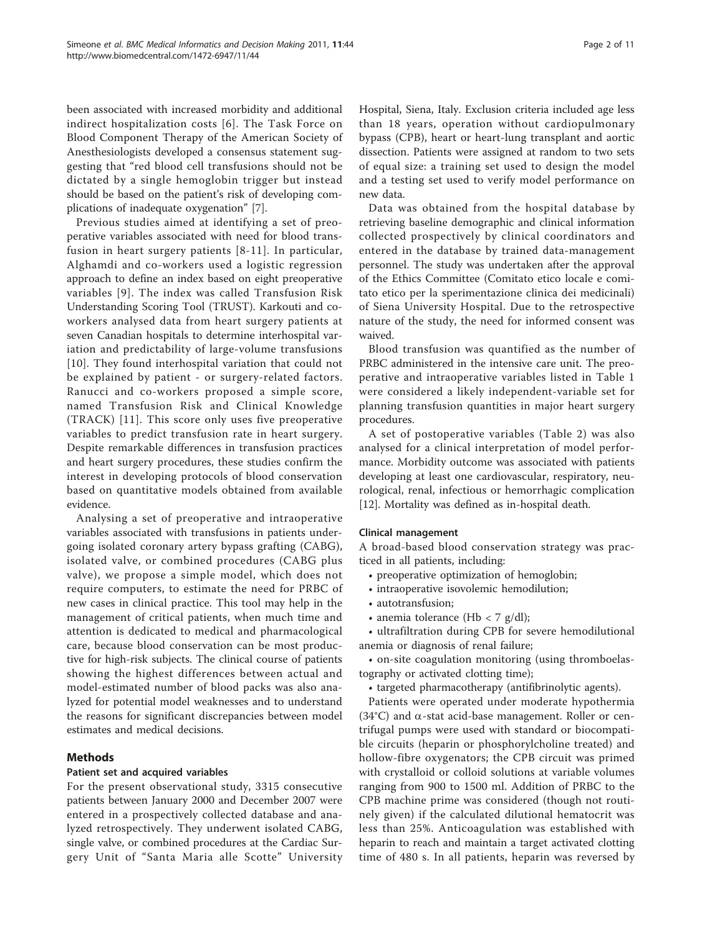been associated with increased morbidity and additional indirect hospitalization costs [[6\]](#page-9-0). The Task Force on Blood Component Therapy of the American Society of Anesthesiologists developed a consensus statement suggesting that "red blood cell transfusions should not be dictated by a single hemoglobin trigger but instead should be based on the patient's risk of developing complications of inadequate oxygenation" [[7\]](#page-9-0).

Previous studies aimed at identifying a set of preoperative variables associated with need for blood transfusion in heart surgery patients [[8-11](#page-9-0)]. In particular, Alghamdi and co-workers used a logistic regression approach to define an index based on eight preoperative variables [[9\]](#page-9-0). The index was called Transfusion Risk Understanding Scoring Tool (TRUST). Karkouti and coworkers analysed data from heart surgery patients at seven Canadian hospitals to determine interhospital variation and predictability of large-volume transfusions [[10](#page-9-0)]. They found interhospital variation that could not be explained by patient - or surgery-related factors. Ranucci and co-workers proposed a simple score, named Transfusion Risk and Clinical Knowledge (TRACK) [[11](#page-9-0)]. This score only uses five preoperative variables to predict transfusion rate in heart surgery. Despite remarkable differences in transfusion practices and heart surgery procedures, these studies confirm the interest in developing protocols of blood conservation based on quantitative models obtained from available evidence.

Analysing a set of preoperative and intraoperative variables associated with transfusions in patients undergoing isolated coronary artery bypass grafting (CABG), isolated valve, or combined procedures (CABG plus valve), we propose a simple model, which does not require computers, to estimate the need for PRBC of new cases in clinical practice. This tool may help in the management of critical patients, when much time and attention is dedicated to medical and pharmacological care, because blood conservation can be most productive for high-risk subjects. The clinical course of patients showing the highest differences between actual and model-estimated number of blood packs was also analyzed for potential model weaknesses and to understand the reasons for significant discrepancies between model estimates and medical decisions.

# Methods

# Patient set and acquired variables

For the present observational study, 3315 consecutive patients between January 2000 and December 2007 were entered in a prospectively collected database and analyzed retrospectively. They underwent isolated CABG, single valve, or combined procedures at the Cardiac Surgery Unit of "Santa Maria alle Scotte" University Hospital, Siena, Italy. Exclusion criteria included age less than 18 years, operation without cardiopulmonary bypass (CPB), heart or heart-lung transplant and aortic dissection. Patients were assigned at random to two sets of equal size: a training set used to design the model and a testing set used to verify model performance on new data.

Data was obtained from the hospital database by retrieving baseline demographic and clinical information collected prospectively by clinical coordinators and entered in the database by trained data-management personnel. The study was undertaken after the approval of the Ethics Committee (Comitato etico locale e comitato etico per la sperimentazione clinica dei medicinali) of Siena University Hospital. Due to the retrospective nature of the study, the need for informed consent was waived.

Blood transfusion was quantified as the number of PRBC administered in the intensive care unit. The preoperative and intraoperative variables listed in Table [1](#page-2-0) were considered a likely independent-variable set for planning transfusion quantities in major heart surgery procedures.

A set of postoperative variables (Table [2\)](#page-2-0) was also analysed for a clinical interpretation of model performance. Morbidity outcome was associated with patients developing at least one cardiovascular, respiratory, neurological, renal, infectious or hemorrhagic complication [[12\]](#page-10-0). Mortality was defined as in-hospital death.

### Clinical management

A broad-based blood conservation strategy was practiced in all patients, including:

- preoperative optimization of hemoglobin;
- intraoperative isovolemic hemodilution;
- autotransfusion;
- anemia tolerance (Hb < 7 g/dl);

• ultrafiltration during CPB for severe hemodilutional anemia or diagnosis of renal failure;

• on-site coagulation monitoring (using thromboelastography or activated clotting time);

• targeted pharmacotherapy (antifibrinolytic agents).

Patients were operated under moderate hypothermia (34 $^{\circ}$ C) and  $\alpha$ -stat acid-base management. Roller or centrifugal pumps were used with standard or biocompatible circuits (heparin or phosphorylcholine treated) and hollow-fibre oxygenators; the CPB circuit was primed with crystalloid or colloid solutions at variable volumes ranging from 900 to 1500 ml. Addition of PRBC to the CPB machine prime was considered (though not routinely given) if the calculated dilutional hematocrit was less than 25%. Anticoagulation was established with heparin to reach and maintain a target activated clotting time of 480 s. In all patients, heparin was reversed by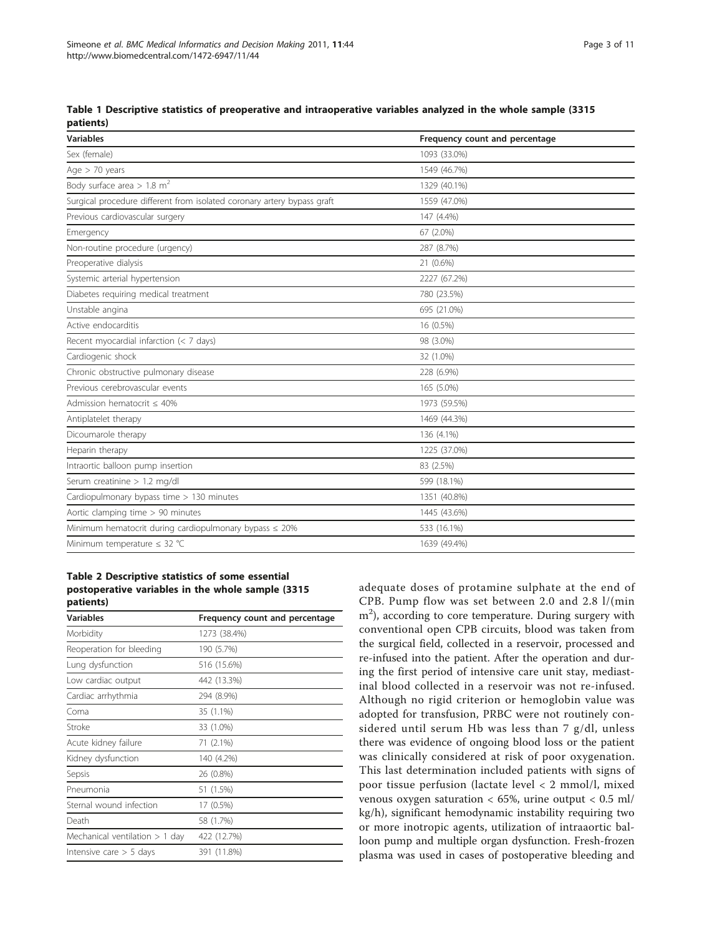<span id="page-2-0"></span>Table 1 Descriptive statistics of preoperative and intraoperative variables analyzed in the whole sample (3315 patients)

| <b>Variables</b>                                                        | Frequency count and percentage |
|-------------------------------------------------------------------------|--------------------------------|
| Sex (female)                                                            | 1093 (33.0%)                   |
| Age $> 70$ years                                                        | 1549 (46.7%)                   |
| Body surface area > 1.8 $m2$                                            | 1329 (40.1%)                   |
| Surgical procedure different from isolated coronary artery bypass graft | 1559 (47.0%)                   |
| Previous cardiovascular surgery                                         | 147 (4.4%)                     |
| Emergency                                                               | 67 (2.0%)                      |
| Non-routine procedure (urgency)                                         | 287 (8.7%)                     |
| Preoperative dialysis                                                   | 21 (0.6%)                      |
| Systemic arterial hypertension                                          | 2227 (67.2%)                   |
| Diabetes requiring medical treatment                                    | 780 (23.5%)                    |
| Unstable angina                                                         | 695 (21.0%)                    |
| Active endocarditis                                                     | 16 (0.5%)                      |
| Recent myocardial infarction $(< 7 \text{ days})$                       | 98 (3.0%)                      |
| Cardiogenic shock                                                       | 32 (1.0%)                      |
| Chronic obstructive pulmonary disease                                   | 228 (6.9%)                     |
| Previous cerebrovascular events                                         | 165 (5.0%)                     |
| Admission hematocrit $\leq 40\%$                                        | 1973 (59.5%)                   |
| Antiplatelet therapy                                                    | 1469 (44.3%)                   |
| Dicoumarole therapy                                                     | 136 (4.1%)                     |
| Heparin therapy                                                         | 1225 (37.0%)                   |
| Intraortic balloon pump insertion                                       | 83 (2.5%)                      |
| Serum creatinine > 1.2 mg/dl                                            | 599 (18.1%)                    |
| Cardiopulmonary bypass time > 130 minutes                               | 1351 (40.8%)                   |
| Aortic clamping time > 90 minutes                                       | 1445 (43.6%)                   |
| Minimum hematocrit during cardiopulmonary bypass $\leq 20\%$            | 533 (16.1%)                    |
| Minimum temperature $\leq$ 32 °C                                        | 1639 (49.4%)                   |

## Table 2 Descriptive statistics of some essential postoperative variables in the whole sample (3315 patients)

| <b>Variables</b>                 | Frequency count and percentage |
|----------------------------------|--------------------------------|
| Morbidity                        | 1273 (38.4%)                   |
| Reoperation for bleeding         | 190 (5.7%)                     |
| Lung dysfunction                 | 516 (15.6%)                    |
| Low cardiac output               | 442 (13.3%)                    |
| Cardiac arrhythmia               | 294 (8.9%)                     |
| Coma                             | 35 (1.1%)                      |
| Stroke                           | 33 (1.0%)                      |
| Acute kidney failure             | 71 (2.1%)                      |
| Kidney dysfunction               | 140 (4.2%)                     |
| Sepsis                           | 26 (0.8%)                      |
| Pneumonia                        | 51 (1.5%)                      |
| Sternal wound infection          | 17 (0.5%)                      |
| Death                            | 58 (1.7%)                      |
| Mechanical ventilation $> 1$ day | 422 (12.7%)                    |
| Intensive care $>$ 5 days        | 391 (11.8%)                    |

adequate doses of protamine sulphate at the end of CPB. Pump flow was set between 2.0 and 2.8 l/(min m<sup>2</sup>), according to core temperature. During surgery with conventional open CPB circuits, blood was taken from the surgical field, collected in a reservoir, processed and re-infused into the patient. After the operation and during the first period of intensive care unit stay, mediastinal blood collected in a reservoir was not re-infused. Although no rigid criterion or hemoglobin value was adopted for transfusion, PRBC were not routinely considered until serum Hb was less than 7 g/dl, unless there was evidence of ongoing blood loss or the patient was clinically considered at risk of poor oxygenation. This last determination included patients with signs of poor tissue perfusion (lactate level < 2 mmol/l, mixed venous oxygen saturation  $< 65\%$ , urine output  $< 0.5$  ml/ kg/h), significant hemodynamic instability requiring two or more inotropic agents, utilization of intraaortic balloon pump and multiple organ dysfunction. Fresh-frozen plasma was used in cases of postoperative bleeding and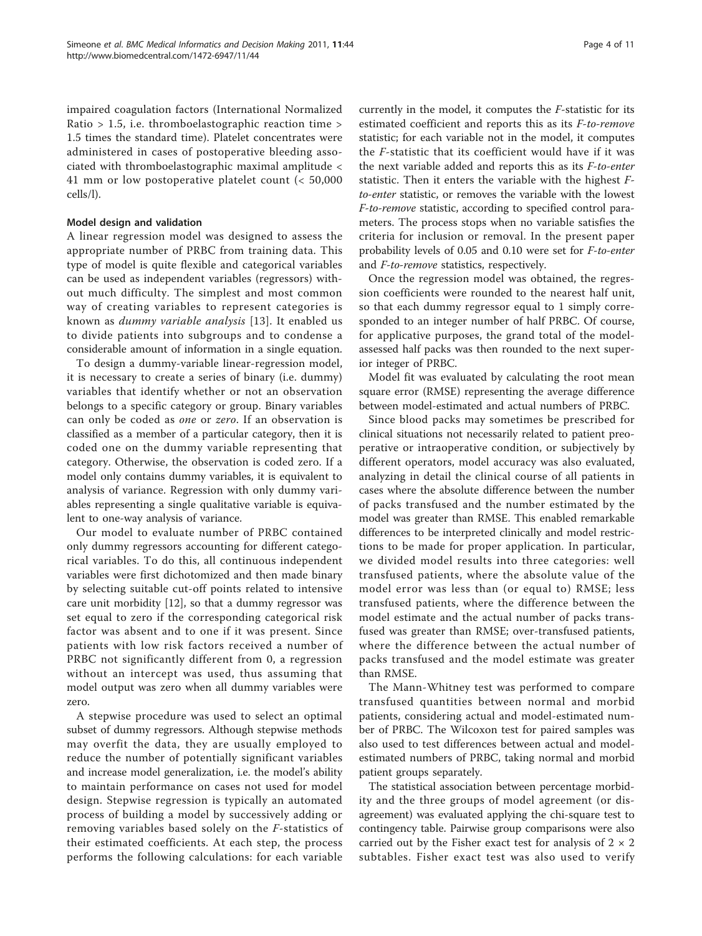impaired coagulation factors (International Normalized Ratio > 1.5, i.e. thromboelastographic reaction time > 1.5 times the standard time). Platelet concentrates were administered in cases of postoperative bleeding associated with thromboelastographic maximal amplitude < 41 mm or low postoperative platelet count (< 50,000 cells/l).

#### Model design and validation

A linear regression model was designed to assess the appropriate number of PRBC from training data. This type of model is quite flexible and categorical variables can be used as independent variables (regressors) without much difficulty. The simplest and most common way of creating variables to represent categories is known as dummy variable analysis [\[13](#page-10-0)]. It enabled us to divide patients into subgroups and to condense a considerable amount of information in a single equation.

To design a dummy-variable linear-regression model, it is necessary to create a series of binary (i.e. dummy) variables that identify whether or not an observation belongs to a specific category or group. Binary variables can only be coded as one or zero. If an observation is classified as a member of a particular category, then it is coded one on the dummy variable representing that category. Otherwise, the observation is coded zero. If a model only contains dummy variables, it is equivalent to analysis of variance. Regression with only dummy variables representing a single qualitative variable is equivalent to one-way analysis of variance.

Our model to evaluate number of PRBC contained only dummy regressors accounting for different categorical variables. To do this, all continuous independent variables were first dichotomized and then made binary by selecting suitable cut-off points related to intensive care unit morbidity [[12\]](#page-10-0), so that a dummy regressor was set equal to zero if the corresponding categorical risk factor was absent and to one if it was present. Since patients with low risk factors received a number of PRBC not significantly different from 0, a regression without an intercept was used, thus assuming that model output was zero when all dummy variables were zero.

A stepwise procedure was used to select an optimal subset of dummy regressors. Although stepwise methods may overfit the data, they are usually employed to reduce the number of potentially significant variables and increase model generalization, i.e. the model's ability to maintain performance on cases not used for model design. Stepwise regression is typically an automated process of building a model by successively adding or removing variables based solely on the F-statistics of their estimated coefficients. At each step, the process performs the following calculations: for each variable currently in the model, it computes the F-statistic for its estimated coefficient and reports this as its F-to-remove statistic; for each variable not in the model, it computes the F-statistic that its coefficient would have if it was the next variable added and reports this as its F-to-enter statistic. Then it enters the variable with the highest Fto-enter statistic, or removes the variable with the lowest F-to-remove statistic, according to specified control parameters. The process stops when no variable satisfies the criteria for inclusion or removal. In the present paper probability levels of 0.05 and 0.10 were set for F-to-enter and F-to-remove statistics, respectively.

Once the regression model was obtained, the regression coefficients were rounded to the nearest half unit, so that each dummy regressor equal to 1 simply corresponded to an integer number of half PRBC. Of course, for applicative purposes, the grand total of the modelassessed half packs was then rounded to the next superior integer of PRBC.

Model fit was evaluated by calculating the root mean square error (RMSE) representing the average difference between model-estimated and actual numbers of PRBC.

Since blood packs may sometimes be prescribed for clinical situations not necessarily related to patient preoperative or intraoperative condition, or subjectively by different operators, model accuracy was also evaluated, analyzing in detail the clinical course of all patients in cases where the absolute difference between the number of packs transfused and the number estimated by the model was greater than RMSE. This enabled remarkable differences to be interpreted clinically and model restrictions to be made for proper application. In particular, we divided model results into three categories: well transfused patients, where the absolute value of the model error was less than (or equal to) RMSE; less transfused patients, where the difference between the model estimate and the actual number of packs transfused was greater than RMSE; over-transfused patients, where the difference between the actual number of packs transfused and the model estimate was greater than RMSE.

The Mann-Whitney test was performed to compare transfused quantities between normal and morbid patients, considering actual and model-estimated number of PRBC. The Wilcoxon test for paired samples was also used to test differences between actual and modelestimated numbers of PRBC, taking normal and morbid patient groups separately.

The statistical association between percentage morbidity and the three groups of model agreement (or disagreement) was evaluated applying the chi-square test to contingency table. Pairwise group comparisons were also carried out by the Fisher exact test for analysis of  $2 \times 2$ subtables. Fisher exact test was also used to verify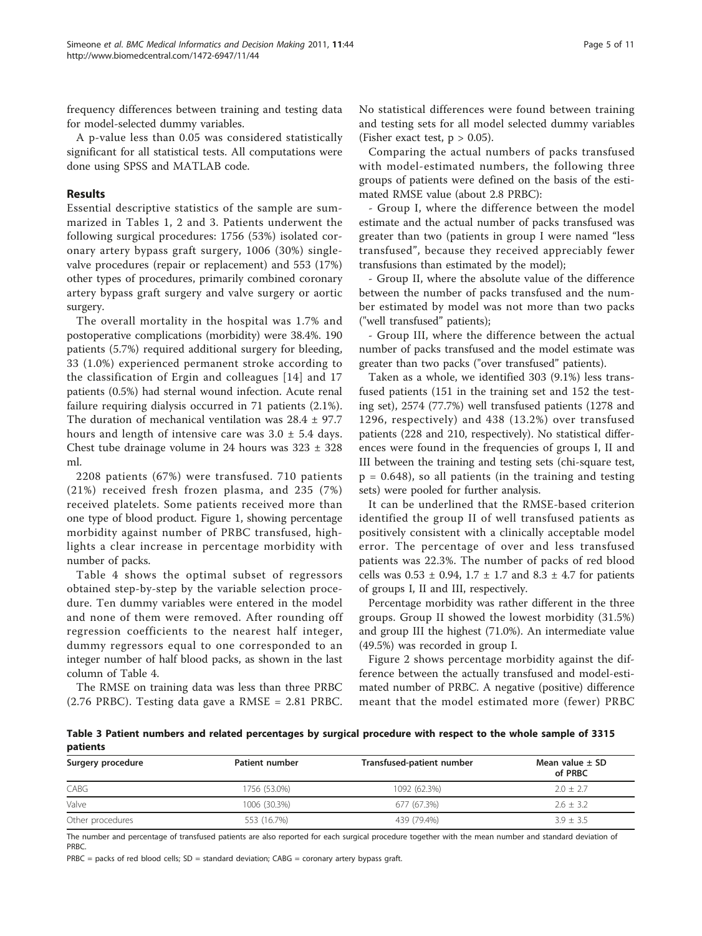frequency differences between training and testing data for model-selected dummy variables.

A p-value less than 0.05 was considered statistically significant for all statistical tests. All computations were done using SPSS and MATLAB code.

# Results

Essential descriptive statistics of the sample are summarized in Tables [1](#page-2-0), [2](#page-2-0) and 3. Patients underwent the following surgical procedures: 1756 (53%) isolated coronary artery bypass graft surgery, 1006 (30%) singlevalve procedures (repair or replacement) and 553 (17%) other types of procedures, primarily combined coronary artery bypass graft surgery and valve surgery or aortic surgery.

The overall mortality in the hospital was 1.7% and postoperative complications (morbidity) were 38.4%. 190 patients (5.7%) required additional surgery for bleeding, 33 (1.0%) experienced permanent stroke according to the classification of Ergin and colleagues [[14\]](#page-10-0) and 17 patients (0.5%) had sternal wound infection. Acute renal failure requiring dialysis occurred in 71 patients (2.1%). The duration of mechanical ventilation was 28.4 ± 97.7 hours and length of intensive care was  $3.0 \pm 5.4$  days. Chest tube drainage volume in 24 hours was  $323 \pm 328$ ml.

2208 patients (67%) were transfused. 710 patients (21%) received fresh frozen plasma, and 235 (7%) received platelets. Some patients received more than one type of blood product. Figure [1](#page-5-0), showing percentage morbidity against number of PRBC transfused, highlights a clear increase in percentage morbidity with number of packs.

Table [4](#page-5-0) shows the optimal subset of regressors obtained step-by-step by the variable selection procedure. Ten dummy variables were entered in the model and none of them were removed. After rounding off regression coefficients to the nearest half integer, dummy regressors equal to one corresponded to an integer number of half blood packs, as shown in the last column of Table [4.](#page-5-0)

The RMSE on training data was less than three PRBC (2.76 PRBC). Testing data gave a RMSE = 2.81 PRBC. No statistical differences were found between training and testing sets for all model selected dummy variables (Fisher exact test,  $p > 0.05$ ).

Comparing the actual numbers of packs transfused with model-estimated numbers, the following three groups of patients were defined on the basis of the estimated RMSE value (about 2.8 PRBC):

- Group I, where the difference between the model estimate and the actual number of packs transfused was greater than two (patients in group I were named "less transfused", because they received appreciably fewer transfusions than estimated by the model);

- Group II, where the absolute value of the difference between the number of packs transfused and the number estimated by model was not more than two packs ("well transfused" patients);

- Group III, where the difference between the actual number of packs transfused and the model estimate was greater than two packs ("over transfused" patients).

Taken as a whole, we identified 303 (9.1%) less transfused patients (151 in the training set and 152 the testing set), 2574 (77.7%) well transfused patients (1278 and 1296, respectively) and 438 (13.2%) over transfused patients (228 and 210, respectively). No statistical differences were found in the frequencies of groups I, II and III between the training and testing sets (chi-square test,  $p = 0.648$ , so all patients (in the training and testing sets) were pooled for further analysis.

It can be underlined that the RMSE-based criterion identified the group II of well transfused patients as positively consistent with a clinically acceptable model error. The percentage of over and less transfused patients was 22.3%. The number of packs of red blood cells was  $0.53 \pm 0.94$ ,  $1.7 \pm 1.7$  and  $8.3 \pm 4.7$  for patients of groups I, II and III, respectively.

Percentage morbidity was rather different in the three groups. Group II showed the lowest morbidity (31.5%) and group III the highest (71.0%). An intermediate value (49.5%) was recorded in group I.

Figure [2](#page-6-0) shows percentage morbidity against the difference between the actually transfused and model-estimated number of PRBC. A negative (positive) difference meant that the model estimated more (fewer) PRBC

Table 3 Patient numbers and related percentages by surgical procedure with respect to the whole sample of 3315 patients

| Surgery procedure | Patient number | Transfused-patient number | Mean value $\pm$ SD<br>of PRBC |
|-------------------|----------------|---------------------------|--------------------------------|
| CABG              | 1756 (53.0%)   | 1092 (62.3%)              | $2.0 \pm 2.7$                  |
| Valve             | 1006 (30.3%)   | 677 (67.3%)               | $2.6 \pm 3.2$                  |
| Other procedures  | 553 (16.7%)    | 439 (79.4%)               | $3.9 \pm 3.5$                  |

The number and percentage of transfused patients are also reported for each surgical procedure together with the mean number and standard deviation of PRBC.

PRBC = packs of red blood cells; SD = standard deviation; CABG = coronary artery bypass graft.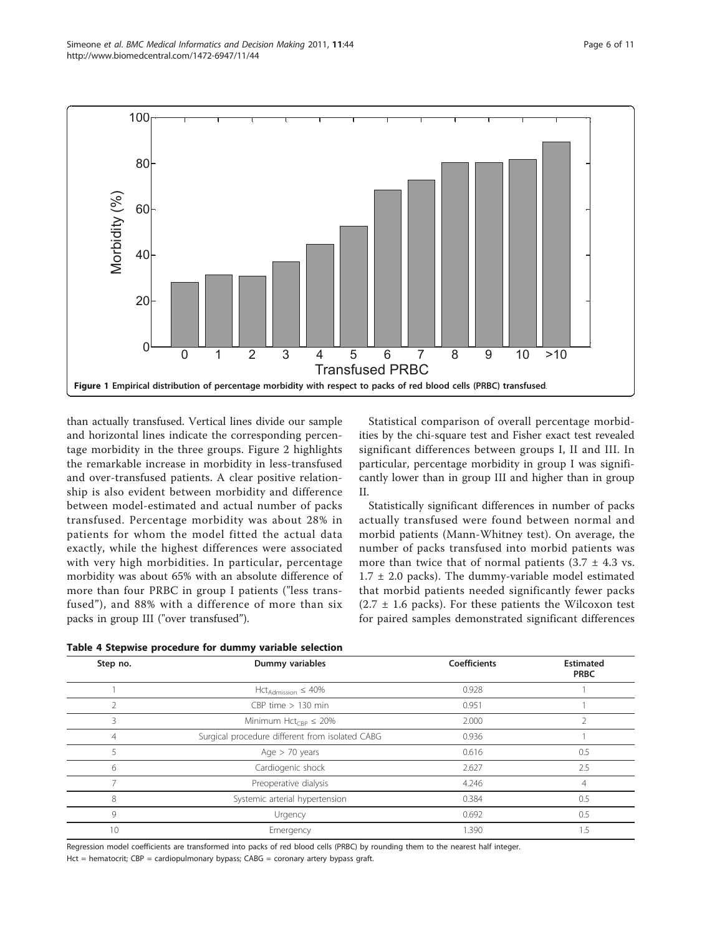<span id="page-5-0"></span>

than actually transfused. Vertical lines divide our sample and horizontal lines indicate the corresponding percentage morbidity in the three groups. Figure [2](#page-6-0) highlights the remarkable increase in morbidity in less-transfused and over-transfused patients. A clear positive relationship is also evident between morbidity and difference between model-estimated and actual number of packs transfused. Percentage morbidity was about 28% in patients for whom the model fitted the actual data exactly, while the highest differences were associated with very high morbidities. In particular, percentage morbidity was about 65% with an absolute difference of more than four PRBC in group I patients ("less transfused"), and 88% with a difference of more than six packs in group III ("over transfused").

Statistical comparison of overall percentage morbidities by the chi-square test and Fisher exact test revealed significant differences between groups I, II and III. In particular, percentage morbidity in group I was significantly lower than in group III and higher than in group II.

Statistically significant differences in number of packs actually transfused were found between normal and morbid patients (Mann-Whitney test). On average, the number of packs transfused into morbid patients was more than twice that of normal patients  $(3.7 \pm 4.3 \text{ vs.})$  $1.7 \pm 2.0$  packs). The dummy-variable model estimated that morbid patients needed significantly fewer packs  $(2.7 \pm 1.6 \text{ packs})$ . For these patients the Wilcoxon test for paired samples demonstrated significant differences

|  |  |  | Table 4 Stepwise procedure for dummy variable selection |  |  |  |  |
|--|--|--|---------------------------------------------------------|--|--|--|--|
|--|--|--|---------------------------------------------------------|--|--|--|--|

| Step no.       | Dummy variables                                 | Coefficients | <b>Estimated</b><br><b>PRBC</b> |
|----------------|-------------------------------------------------|--------------|---------------------------------|
|                | $Hct_{Admission} \leq 40\%$                     | 0.928        |                                 |
| $\mathfrak{D}$ | CBP time $> 130$ min                            | 0.951        |                                 |
| 3              | Minimum $Hct_{CBP} \leq 20\%$                   | 2.000        |                                 |
| 4              | Surgical procedure different from isolated CABG | 0.936        |                                 |
| 5              | Age $>$ 70 years                                | 0.616        | 0.5                             |
| 6              | Cardiogenic shock                               | 2.627        | 2.5                             |
| ⇁              | Preoperative dialysis                           | 4.246        | 4                               |
| 8              | Systemic arterial hypertension                  | 0.384        | 0.5                             |
| 9              | Urgency                                         | 0.692        | 0.5                             |
| 10             | Emergency                                       | 1.390        | 1.5                             |

Regression model coefficients are transformed into packs of red blood cells (PRBC) by rounding them to the nearest half integer. Hct = hematocrit; CBP = cardiopulmonary bypass; CABG = coronary artery bypass graft.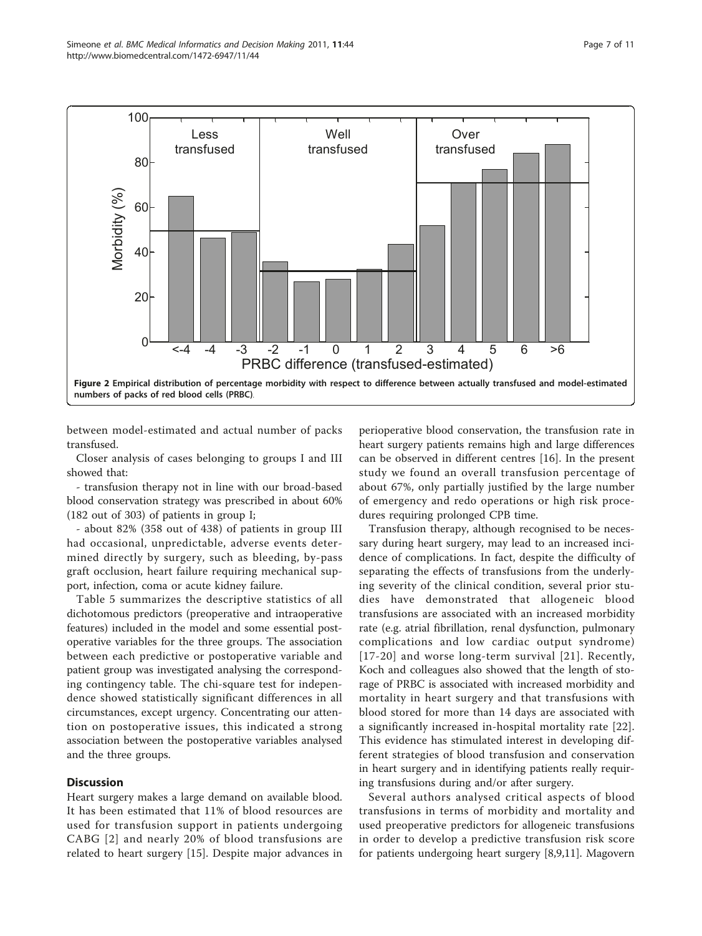<span id="page-6-0"></span>

between model-estimated and actual number of packs transfused.

Closer analysis of cases belonging to groups I and III showed that:

- transfusion therapy not in line with our broad-based blood conservation strategy was prescribed in about 60% (182 out of 303) of patients in group I;

- about 82% (358 out of 438) of patients in group III had occasional, unpredictable, adverse events determined directly by surgery, such as bleeding, by-pass graft occlusion, heart failure requiring mechanical support, infection, coma or acute kidney failure.

Table [5](#page-7-0) summarizes the descriptive statistics of all dichotomous predictors (preoperative and intraoperative features) included in the model and some essential postoperative variables for the three groups. The association between each predictive or postoperative variable and patient group was investigated analysing the corresponding contingency table. The chi-square test for independence showed statistically significant differences in all circumstances, except urgency. Concentrating our attention on postoperative issues, this indicated a strong association between the postoperative variables analysed and the three groups.

# **Discussion**

Heart surgery makes a large demand on available blood. It has been estimated that 11% of blood resources are used for transfusion support in patients undergoing CABG [[2\]](#page-9-0) and nearly 20% of blood transfusions are related to heart surgery [[15](#page-10-0)]. Despite major advances in

perioperative blood conservation, the transfusion rate in heart surgery patients remains high and large differences can be observed in different centres [\[16\]](#page-10-0). In the present study we found an overall transfusion percentage of about 67%, only partially justified by the large number of emergency and redo operations or high risk procedures requiring prolonged CPB time.

Transfusion therapy, although recognised to be necessary during heart surgery, may lead to an increased incidence of complications. In fact, despite the difficulty of separating the effects of transfusions from the underlying severity of the clinical condition, several prior studies have demonstrated that allogeneic blood transfusions are associated with an increased morbidity rate (e.g. atrial fibrillation, renal dysfunction, pulmonary complications and low cardiac output syndrome) [[17-20](#page-10-0)] and worse long-term survival [[21](#page-10-0)]. Recently, Koch and colleagues also showed that the length of storage of PRBC is associated with increased morbidity and mortality in heart surgery and that transfusions with blood stored for more than 14 days are associated with a significantly increased in-hospital mortality rate [[22](#page-10-0)]. This evidence has stimulated interest in developing different strategies of blood transfusion and conservation in heart surgery and in identifying patients really requiring transfusions during and/or after surgery.

Several authors analysed critical aspects of blood transfusions in terms of morbidity and mortality and used preoperative predictors for allogeneic transfusions in order to develop a predictive transfusion risk score for patients undergoing heart surgery [\[8,9,11\]](#page-9-0). Magovern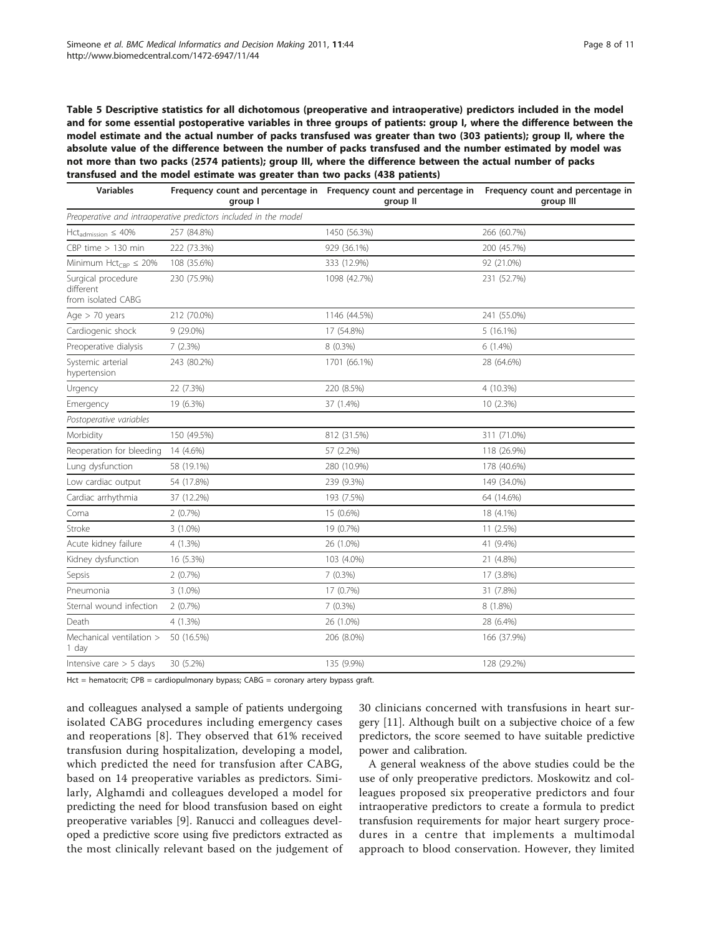<span id="page-7-0"></span>Table 5 Descriptive statistics for all dichotomous (preoperative and intraoperative) predictors included in the model and for some essential postoperative variables in three groups of patients: group I, where the difference between the model estimate and the actual number of packs transfused was greater than two (303 patients); group II, where the absolute value of the difference between the number of packs transfused and the number estimated by model was not more than two packs (2574 patients); group III, where the difference between the actual number of packs transfused and the model estimate was greater than two packs (438 patients)

| Preoperative and intraoperative predictors included in the model<br>266 (60.7%)<br>257 (84.8%)<br>1450 (56.3%)<br>$Hct_{admission} \leq 40\%$<br>$CBP$ time $> 130$ min<br>222 (73.3%)<br>929 (36.1%)<br>200 (45.7%)<br>Minimum Hct <sub>CBP</sub> ≤ 20%<br>108 (35.6%)<br>333 (12.9%)<br>92 (21.0%)<br>Surgical procedure<br>230 (75.9%)<br>1098 (42.7%)<br>231 (52.7%)<br>different<br>from isolated CABG<br>212 (70.0%)<br>1146 (44.5%)<br>241 (55.0%)<br>Age $> 70$ years<br>Cardiogenic shock<br>9 (29.0%)<br>17 (54.8%)<br>$5(16.1\%)$<br>7(2.3%)<br>8 (0.3%)<br>Preoperative dialysis<br>$6(1.4\%)$<br>Systemic arterial<br>1701 (66.1%)<br>243 (80.2%)<br>28 (64.6%)<br>hypertension<br>22 (7.3%)<br>220 (8.5%)<br>4 (10.3%)<br>Urgency<br>37 (1.4%)<br>10 (2.3%)<br>19 (6.3%)<br>Emergency | Frequency count and percentage in Frequency count and percentage in Frequency count and percentage in |
|-----------------------------------------------------------------------------------------------------------------------------------------------------------------------------------------------------------------------------------------------------------------------------------------------------------------------------------------------------------------------------------------------------------------------------------------------------------------------------------------------------------------------------------------------------------------------------------------------------------------------------------------------------------------------------------------------------------------------------------------------------------------------------------------------------|-------------------------------------------------------------------------------------------------------|
|                                                                                                                                                                                                                                                                                                                                                                                                                                                                                                                                                                                                                                                                                                                                                                                                     |                                                                                                       |
|                                                                                                                                                                                                                                                                                                                                                                                                                                                                                                                                                                                                                                                                                                                                                                                                     |                                                                                                       |
|                                                                                                                                                                                                                                                                                                                                                                                                                                                                                                                                                                                                                                                                                                                                                                                                     |                                                                                                       |
|                                                                                                                                                                                                                                                                                                                                                                                                                                                                                                                                                                                                                                                                                                                                                                                                     |                                                                                                       |
|                                                                                                                                                                                                                                                                                                                                                                                                                                                                                                                                                                                                                                                                                                                                                                                                     |                                                                                                       |
|                                                                                                                                                                                                                                                                                                                                                                                                                                                                                                                                                                                                                                                                                                                                                                                                     |                                                                                                       |
|                                                                                                                                                                                                                                                                                                                                                                                                                                                                                                                                                                                                                                                                                                                                                                                                     |                                                                                                       |
|                                                                                                                                                                                                                                                                                                                                                                                                                                                                                                                                                                                                                                                                                                                                                                                                     |                                                                                                       |
|                                                                                                                                                                                                                                                                                                                                                                                                                                                                                                                                                                                                                                                                                                                                                                                                     |                                                                                                       |
|                                                                                                                                                                                                                                                                                                                                                                                                                                                                                                                                                                                                                                                                                                                                                                                                     |                                                                                                       |
|                                                                                                                                                                                                                                                                                                                                                                                                                                                                                                                                                                                                                                                                                                                                                                                                     |                                                                                                       |
| Postoperative variables                                                                                                                                                                                                                                                                                                                                                                                                                                                                                                                                                                                                                                                                                                                                                                             |                                                                                                       |
| Morbidity<br>150 (49.5%)<br>812 (31.5%)<br>311 (71.0%)                                                                                                                                                                                                                                                                                                                                                                                                                                                                                                                                                                                                                                                                                                                                              |                                                                                                       |
| Reoperation for bleeding<br>14 (4.6%)<br>57 (2.2%)<br>118 (26.9%)                                                                                                                                                                                                                                                                                                                                                                                                                                                                                                                                                                                                                                                                                                                                   |                                                                                                       |
| Lung dysfunction<br>58 (19.1%)<br>280 (10.9%)<br>178 (40.6%)                                                                                                                                                                                                                                                                                                                                                                                                                                                                                                                                                                                                                                                                                                                                        |                                                                                                       |
| Low cardiac output<br>239 (9.3%)<br>54 (17.8%)<br>149 (34.0%)                                                                                                                                                                                                                                                                                                                                                                                                                                                                                                                                                                                                                                                                                                                                       |                                                                                                       |
| Cardiac arrhythmia<br>193 (7.5%)<br>64 (14.6%)<br>37 (12.2%)                                                                                                                                                                                                                                                                                                                                                                                                                                                                                                                                                                                                                                                                                                                                        |                                                                                                       |
| Coma<br>2(0.7%)<br>15 (0.6%)<br>18 (4.1%)                                                                                                                                                                                                                                                                                                                                                                                                                                                                                                                                                                                                                                                                                                                                                           |                                                                                                       |
| Stroke<br>19 (0.7%)<br>11 (2.5%)<br>$3(1.0\%)$                                                                                                                                                                                                                                                                                                                                                                                                                                                                                                                                                                                                                                                                                                                                                      |                                                                                                       |
| Acute kidney failure<br>26 (1.0%)<br>41 (9.4%)<br>$4(1.3\%)$                                                                                                                                                                                                                                                                                                                                                                                                                                                                                                                                                                                                                                                                                                                                        |                                                                                                       |
| Kidney dysfunction<br>103 (4.0%)<br>21 (4.8%)<br>16 (5.3%)                                                                                                                                                                                                                                                                                                                                                                                                                                                                                                                                                                                                                                                                                                                                          |                                                                                                       |
| $7(0.3\%)$<br>17 (3.8%)<br>Sepsis<br>2(0.7%)                                                                                                                                                                                                                                                                                                                                                                                                                                                                                                                                                                                                                                                                                                                                                        |                                                                                                       |
| Pneumonia<br>$3(1.0\%)$<br>17 (0.7%)<br>31 (7.8%)                                                                                                                                                                                                                                                                                                                                                                                                                                                                                                                                                                                                                                                                                                                                                   |                                                                                                       |
| Sternal wound infection<br>8 (1.8%)<br>2(0.7%)<br>$7(0.3\%)$                                                                                                                                                                                                                                                                                                                                                                                                                                                                                                                                                                                                                                                                                                                                        |                                                                                                       |
| Death<br>$4(1.3\%)$<br>26 (1.0%)<br>28 (6.4%)                                                                                                                                                                                                                                                                                                                                                                                                                                                                                                                                                                                                                                                                                                                                                       |                                                                                                       |
| Mechanical ventilation ><br>206 (8.0%)<br>50 (16.5%)<br>166 (37.9%)<br>1 day                                                                                                                                                                                                                                                                                                                                                                                                                                                                                                                                                                                                                                                                                                                        |                                                                                                       |
| 135 (9.9%)<br>30 (5.2%)<br>128 (29.2%)<br>Intensive care $>$ 5 days                                                                                                                                                                                                                                                                                                                                                                                                                                                                                                                                                                                                                                                                                                                                 |                                                                                                       |

Hct = hematocrit; CPB = cardiopulmonary bypass; CABG = coronary artery bypass graft.

and colleagues analysed a sample of patients undergoing isolated CABG procedures including emergency cases and reoperations [\[8](#page-9-0)]. They observed that 61% received transfusion during hospitalization, developing a model, which predicted the need for transfusion after CABG, based on 14 preoperative variables as predictors. Similarly, Alghamdi and colleagues developed a model for predicting the need for blood transfusion based on eight preoperative variables [[9\]](#page-9-0). Ranucci and colleagues developed a predictive score using five predictors extracted as the most clinically relevant based on the judgement of 30 clinicians concerned with transfusions in heart surgery [\[11](#page-9-0)]. Although built on a subjective choice of a few predictors, the score seemed to have suitable predictive power and calibration.

A general weakness of the above studies could be the use of only preoperative predictors. Moskowitz and colleagues proposed six preoperative predictors and four intraoperative predictors to create a formula to predict transfusion requirements for major heart surgery procedures in a centre that implements a multimodal approach to blood conservation. However, they limited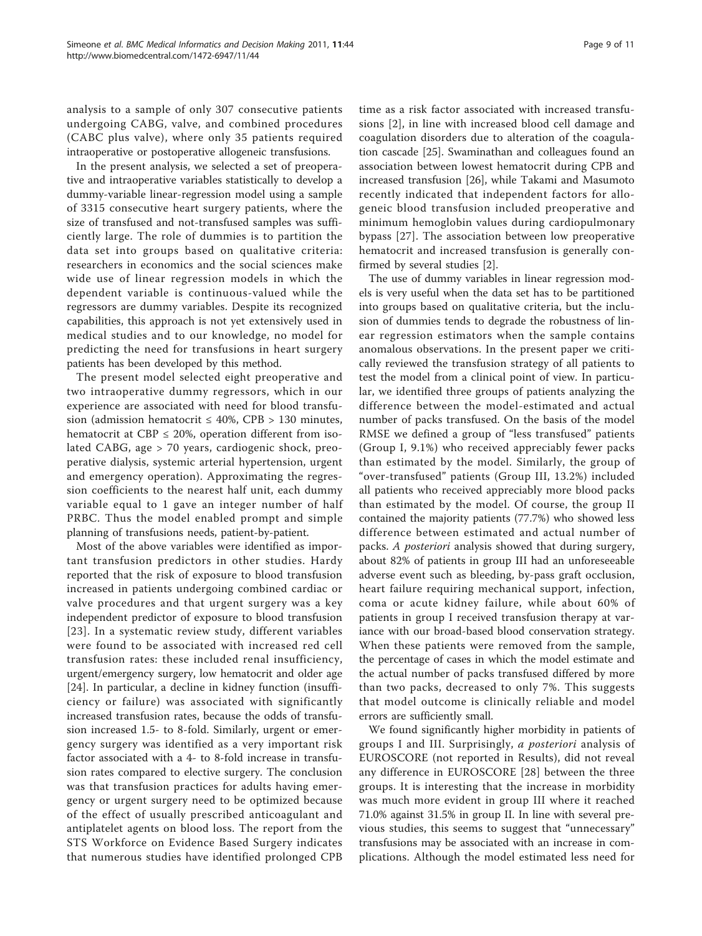analysis to a sample of only 307 consecutive patients undergoing CABG, valve, and combined procedures (CABC plus valve), where only 35 patients required intraoperative or postoperative allogeneic transfusions.

In the present analysis, we selected a set of preoperative and intraoperative variables statistically to develop a dummy-variable linear-regression model using a sample of 3315 consecutive heart surgery patients, where the size of transfused and not-transfused samples was sufficiently large. The role of dummies is to partition the data set into groups based on qualitative criteria: researchers in economics and the social sciences make wide use of linear regression models in which the dependent variable is continuous-valued while the regressors are dummy variables. Despite its recognized capabilities, this approach is not yet extensively used in medical studies and to our knowledge, no model for predicting the need for transfusions in heart surgery patients has been developed by this method.

The present model selected eight preoperative and two intraoperative dummy regressors, which in our experience are associated with need for blood transfusion (admission hematocrit  $\leq 40\%$ , CPB > 130 minutes, hematocrit at CBP  $\leq$  20%, operation different from isolated CABG, age > 70 years, cardiogenic shock, preoperative dialysis, systemic arterial hypertension, urgent and emergency operation). Approximating the regression coefficients to the nearest half unit, each dummy variable equal to 1 gave an integer number of half PRBC. Thus the model enabled prompt and simple planning of transfusions needs, patient-by-patient.

Most of the above variables were identified as important transfusion predictors in other studies. Hardy reported that the risk of exposure to blood transfusion increased in patients undergoing combined cardiac or valve procedures and that urgent surgery was a key independent predictor of exposure to blood transfusion [[23\]](#page-10-0). In a systematic review study, different variables were found to be associated with increased red cell transfusion rates: these included renal insufficiency, urgent/emergency surgery, low hematocrit and older age [[24\]](#page-10-0). In particular, a decline in kidney function (insufficiency or failure) was associated with significantly increased transfusion rates, because the odds of transfusion increased 1.5- to 8-fold. Similarly, urgent or emergency surgery was identified as a very important risk factor associated with a 4- to 8-fold increase in transfusion rates compared to elective surgery. The conclusion was that transfusion practices for adults having emergency or urgent surgery need to be optimized because of the effect of usually prescribed anticoagulant and antiplatelet agents on blood loss. The report from the STS Workforce on Evidence Based Surgery indicates that numerous studies have identified prolonged CPB

time as a risk factor associated with increased transfusions [[2\]](#page-9-0), in line with increased blood cell damage and coagulation disorders due to alteration of the coagulation cascade [[25\]](#page-10-0). Swaminathan and colleagues found an association between lowest hematocrit during CPB and increased transfusion [\[26](#page-10-0)], while Takami and Masumoto recently indicated that independent factors for allogeneic blood transfusion included preoperative and minimum hemoglobin values during cardiopulmonary bypass [\[27](#page-10-0)]. The association between low preoperative hematocrit and increased transfusion is generally confirmed by several studies [[2\]](#page-9-0).

The use of dummy variables in linear regression models is very useful when the data set has to be partitioned into groups based on qualitative criteria, but the inclusion of dummies tends to degrade the robustness of linear regression estimators when the sample contains anomalous observations. In the present paper we critically reviewed the transfusion strategy of all patients to test the model from a clinical point of view. In particular, we identified three groups of patients analyzing the difference between the model-estimated and actual number of packs transfused. On the basis of the model RMSE we defined a group of "less transfused" patients (Group I, 9.1%) who received appreciably fewer packs than estimated by the model. Similarly, the group of "over-transfused" patients (Group III, 13.2%) included all patients who received appreciably more blood packs than estimated by the model. Of course, the group II contained the majority patients (77.7%) who showed less difference between estimated and actual number of packs. A posteriori analysis showed that during surgery, about 82% of patients in group III had an unforeseeable adverse event such as bleeding, by-pass graft occlusion, heart failure requiring mechanical support, infection, coma or acute kidney failure, while about 60% of patients in group I received transfusion therapy at variance with our broad-based blood conservation strategy. When these patients were removed from the sample, the percentage of cases in which the model estimate and the actual number of packs transfused differed by more than two packs, decreased to only 7%. This suggests that model outcome is clinically reliable and model errors are sufficiently small.

We found significantly higher morbidity in patients of groups I and III. Surprisingly, a posteriori analysis of EUROSCORE (not reported in Results), did not reveal any difference in EUROSCORE [[28](#page-10-0)] between the three groups. It is interesting that the increase in morbidity was much more evident in group III where it reached 71.0% against 31.5% in group II. In line with several previous studies, this seems to suggest that "unnecessary" transfusions may be associated with an increase in complications. Although the model estimated less need for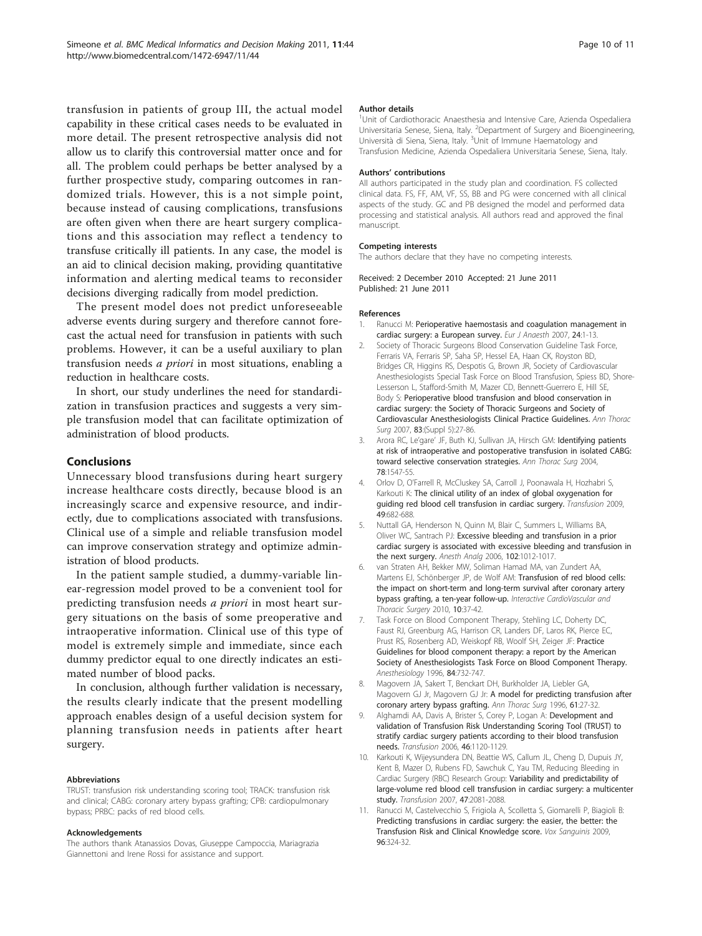<span id="page-9-0"></span>transfusion in patients of group III, the actual model capability in these critical cases needs to be evaluated in more detail. The present retrospective analysis did not allow us to clarify this controversial matter once and for all. The problem could perhaps be better analysed by a further prospective study, comparing outcomes in randomized trials. However, this is a not simple point, because instead of causing complications, transfusions are often given when there are heart surgery complications and this association may reflect a tendency to transfuse critically ill patients. In any case, the model is an aid to clinical decision making, providing quantitative information and alerting medical teams to reconsider decisions diverging radically from model prediction.

The present model does not predict unforeseeable adverse events during surgery and therefore cannot forecast the actual need for transfusion in patients with such problems. However, it can be a useful auxiliary to plan transfusion needs a priori in most situations, enabling a reduction in healthcare costs.

In short, our study underlines the need for standardization in transfusion practices and suggests a very simple transfusion model that can facilitate optimization of administration of blood products.

### Conclusions

Unnecessary blood transfusions during heart surgery increase healthcare costs directly, because blood is an increasingly scarce and expensive resource, and indirectly, due to complications associated with transfusions. Clinical use of a simple and reliable transfusion model can improve conservation strategy and optimize administration of blood products.

In the patient sample studied, a dummy-variable linear-regression model proved to be a convenient tool for predicting transfusion needs a priori in most heart surgery situations on the basis of some preoperative and intraoperative information. Clinical use of this type of model is extremely simple and immediate, since each dummy predictor equal to one directly indicates an estimated number of blood packs.

In conclusion, although further validation is necessary, the results clearly indicate that the present modelling approach enables design of a useful decision system for planning transfusion needs in patients after heart surgery.

#### Abbreviations

TRUST: transfusion risk understanding scoring tool; TRACK: transfusion risk and clinical; CABG: coronary artery bypass grafting; CPB: cardiopulmonary bypass; PRBC: packs of red blood cells.

#### Acknowledgements

The authors thank Atanassios Dovas, Giuseppe Campoccia, Mariagrazia Giannettoni and Irene Rossi for assistance and support.

#### Author details

<sup>1</sup>Unit of Cardiothoracic Anaesthesia and Intensive Care, Azienda Ospedaliera Universitaria Senese, Siena, Italy. <sup>2</sup>Department of Surgery and Bioengineering Università di Siena, Siena, Italy. <sup>3</sup>Unit of Immune Haematology and Transfusion Medicine, Azienda Ospedaliera Universitaria Senese, Siena, Italy.

#### Authors' contributions

All authors participated in the study plan and coordination. FS collected clinical data. FS, FF, AM, VF, SS, BB and PG were concerned with all clinical aspects of the study. GC and PB designed the model and performed data processing and statistical analysis. All authors read and approved the final manuscript.

#### Competing interests

The authors declare that they have no competing interests.

Received: 2 December 2010 Accepted: 21 June 2011 Published: 21 June 2011

#### References

- Ranucci M: Perioperative haemostasis and coagulation management in cardiac surgery: a European survey. Eur J Anaesth 2007, 24:1-13.
- 2. Society of Thoracic Surgeons Blood Conservation Guideline Task Force, Ferraris VA, Ferraris SP, Saha SP, Hessel EA, Haan CK, Royston BD, Bridges CR, Higgins RS, Despotis G, Brown JR, Society of Cardiovascular Anesthesiologists Special Task Force on Blood Transfusion, Spiess BD, Shore-Lesserson L, Stafford-Smith M, Mazer CD, Bennett-Guerrero E, Hill SE, Body S: Perioperative blood transfusion and blood conservation in cardiac surgery: the Society of Thoracic Surgeons and Society of Cardiovascular Anesthesiologists Clinical Practice Guidelines. Ann Thorac Surg 2007, 83: (Suppl 5): 27-86.
- 3. Arora RC, Le'gare' JF, Buth KJ, Sullivan JA, Hirsch GM: [Identifying patients](http://www.ncbi.nlm.nih.gov/pubmed/15511428?dopt=Abstract) [at risk of intraoperative and postoperative transfusion in isolated CABG:](http://www.ncbi.nlm.nih.gov/pubmed/15511428?dopt=Abstract) [toward selective conservation strategies.](http://www.ncbi.nlm.nih.gov/pubmed/15511428?dopt=Abstract) Ann Thorac Surg 2004, 78:1547-55.
- Orlov D, O'Farrell R, McCluskey SA, Carroll J, Poonawala H, Hozhabri S, Karkouti K: [The clinical utility of an index of global oxygenation for](http://www.ncbi.nlm.nih.gov/pubmed/19347976?dopt=Abstract) [guiding red blood cell transfusion in cardiac surgery.](http://www.ncbi.nlm.nih.gov/pubmed/19347976?dopt=Abstract) Transfusion 2009, 49:682-688.
- 5. Nuttall GA, Henderson N, Quinn M, Blair C, Summers L, Williams BA, Oliver WC, Santrach PJ: [Excessive bleeding and transfusion in a prior](http://www.ncbi.nlm.nih.gov/pubmed/16551890?dopt=Abstract) [cardiac surgery is associated with excessive bleeding and transfusion in](http://www.ncbi.nlm.nih.gov/pubmed/16551890?dopt=Abstract) [the next surgery.](http://www.ncbi.nlm.nih.gov/pubmed/16551890?dopt=Abstract) Anesth Analg 2006, 102:1012-1017.
- 6. van Straten AH, Bekker MW, Soliman Hamad MA, van Zundert AA, Martens EJ, Schönberger JP, de Wolf AM: [Transfusion of red blood cells:](http://www.ncbi.nlm.nih.gov/pubmed/19815567?dopt=Abstract) [the impact on short-term and long-term survival after coronary artery](http://www.ncbi.nlm.nih.gov/pubmed/19815567?dopt=Abstract) [bypass grafting, a ten-year follow-up.](http://www.ncbi.nlm.nih.gov/pubmed/19815567?dopt=Abstract) Interactive CardioVascular and Thoracic Surgery 2010, 10:37-42.
- 7. Task Force on Blood Component Therapy, Stehling LC, Doherty DC, Faust RJ, Greenburg AG, Harrison CR, Landers DF, Laros RK, Pierce EC, Prust RS, Rosenberg AD, Weiskopf RB, Woolf SH, Zeiger JF: [Practice](http://www.ncbi.nlm.nih.gov/pubmed/8659805?dopt=Abstract) [Guidelines for blood component therapy: a report by the American](http://www.ncbi.nlm.nih.gov/pubmed/8659805?dopt=Abstract) [Society of Anesthesiologists Task Force on Blood Component Therapy.](http://www.ncbi.nlm.nih.gov/pubmed/8659805?dopt=Abstract) Anesthesiology 1996, 84:732-747.
- 8. Magovern JA, Sakert T, Benckart DH, Burkholder JA, Liebler GA, Magovern GJ Jr, Magovern GJ Jr: [A model for predicting transfusion after](http://www.ncbi.nlm.nih.gov/pubmed/8561579?dopt=Abstract) [coronary artery bypass grafting.](http://www.ncbi.nlm.nih.gov/pubmed/8561579?dopt=Abstract) Ann Thorac Surg 1996, 61:27-32.
- 9. Alghamdi AA, Davis A, Brister S, Corey P, Logan A: [Development and](http://www.ncbi.nlm.nih.gov/pubmed/16836558?dopt=Abstract) [validation of Transfusion Risk Understanding Scoring Tool \(TRUST\) to](http://www.ncbi.nlm.nih.gov/pubmed/16836558?dopt=Abstract) [stratify cardiac surgery patients according to their blood transfusion](http://www.ncbi.nlm.nih.gov/pubmed/16836558?dopt=Abstract) [needs.](http://www.ncbi.nlm.nih.gov/pubmed/16836558?dopt=Abstract) Transfusion 2006, 46:1120-1129.
- 10. Karkouti K, Wijeysundera DN, Beattie WS, Callum JL, Cheng D, Dupuis JY, Kent B, Mazer D, Rubens FD, Sawchuk C, Yau TM, Reducing Bleeding in Cardiac Surgery (RBC) Research Group: [Variability and predictability of](http://www.ncbi.nlm.nih.gov/pubmed/17958538?dopt=Abstract) [large-volume red blood cell transfusion in cardiac surgery: a multicenter](http://www.ncbi.nlm.nih.gov/pubmed/17958538?dopt=Abstract) [study.](http://www.ncbi.nlm.nih.gov/pubmed/17958538?dopt=Abstract) Transfusion 2007, 47:2081-2088.
- 11. Ranucci M, Castelvecchio S, Frigiola A, Scolletta S, Giomarelli P, Biagioli B: [Predicting transfusions in cardiac surgery: the easier, the better: the](http://www.ncbi.nlm.nih.gov/pubmed/19192264?dopt=Abstract) [Transfusion Risk and Clinical Knowledge score.](http://www.ncbi.nlm.nih.gov/pubmed/19192264?dopt=Abstract) Vox Sanguinis 2009, 96:324-32.